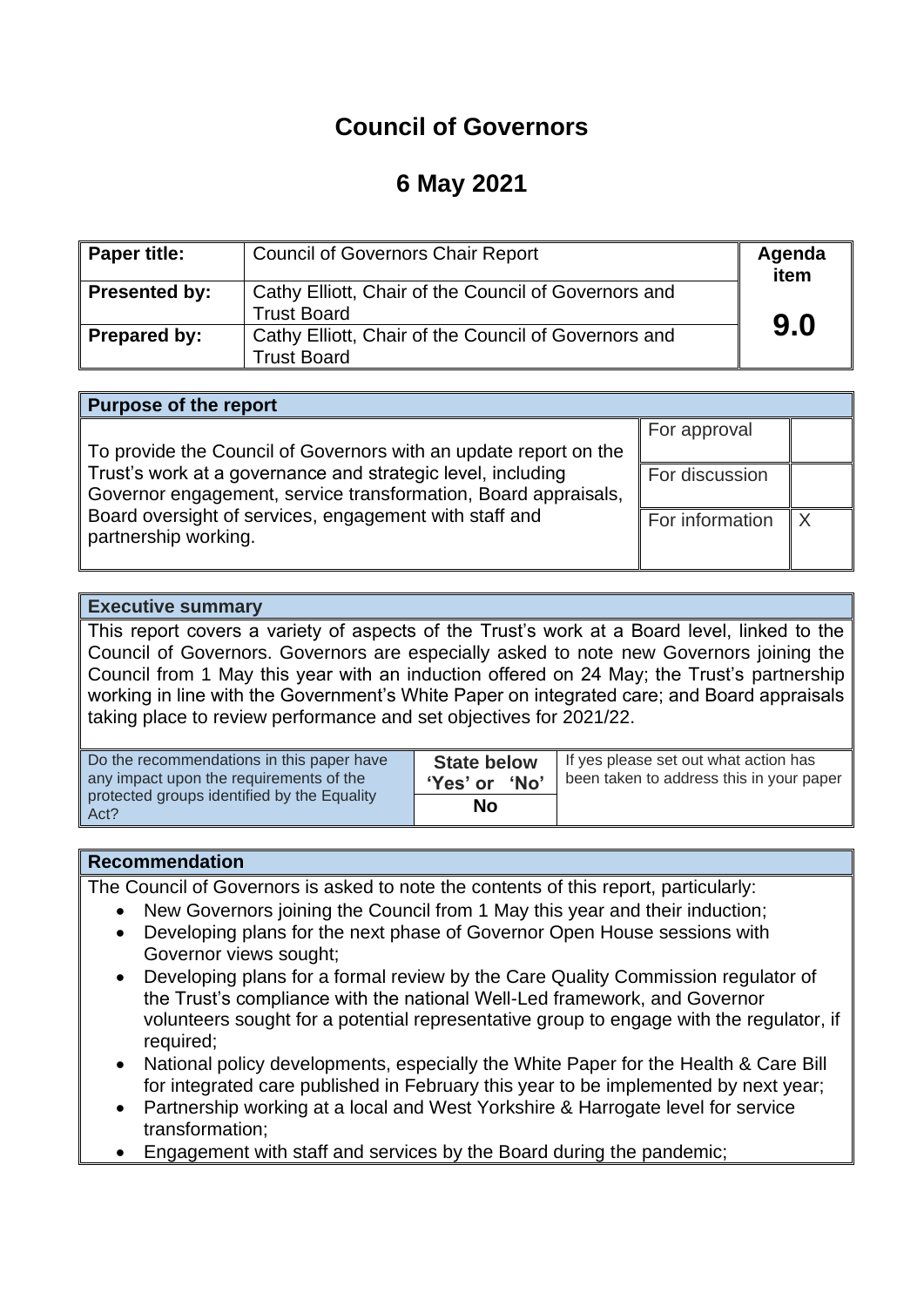# **Council of Governors**

# **6 May 2021**

| <b>Paper title:</b> | <b>Council of Governors Chair Report</b>                                   | Agenda<br>item |
|---------------------|----------------------------------------------------------------------------|----------------|
| Presented by:       | Cathy Elliott, Chair of the Council of Governors and<br><b>Trust Board</b> |                |
| Prepared by:        | Cathy Elliott, Chair of the Council of Governors and<br><b>Trust Board</b> | 9.0            |

#### **Purpose of the report**

To provide the Council of Governors with an update report on the Trust's work at a governance and strategic level, including Governor engagement, service transformation, Board appraisals, Board oversight of services, engagement with staff and partnership working.

For approval For discussion For information  $\mathbb{X}$ 

#### **Executive summary**

This report covers a variety of aspects of the Trust's work at a Board level, linked to the Council of Governors. Governors are especially asked to note new Governors joining the Council from 1 May this year with an induction offered on 24 May; the Trust's partnership working in line with the Government's White Paper on integrated care; and Board appraisals taking place to review performance and set objectives for 2021/22.

| Do the recommendations in this paper have<br>any impact upon the requirements of the | <b>State below</b><br>'Yes' or<br><b>No</b> | If yes please set out what action has<br>been taken to address this in your paper |
|--------------------------------------------------------------------------------------|---------------------------------------------|-----------------------------------------------------------------------------------|
| protected groups identified by the Equality<br>Act?                                  | Nο                                          |                                                                                   |

#### **Recommendation**

The Council of Governors is asked to note the contents of this report, particularly:

- New Governors joining the Council from 1 May this year and their induction;
- Developing plans for the next phase of Governor Open House sessions with Governor views sought;
- Developing plans for a formal review by the Care Quality Commission regulator of the Trust's compliance with the national Well-Led framework, and Governor volunteers sought for a potential representative group to engage with the regulator, if required;
- National policy developments, especially the White Paper for the Health & Care Bill for integrated care published in February this year to be implemented by next year;
- Partnership working at a local and West Yorkshire & Harrogate level for service transformation;
- Engagement with staff and services by the Board during the pandemic;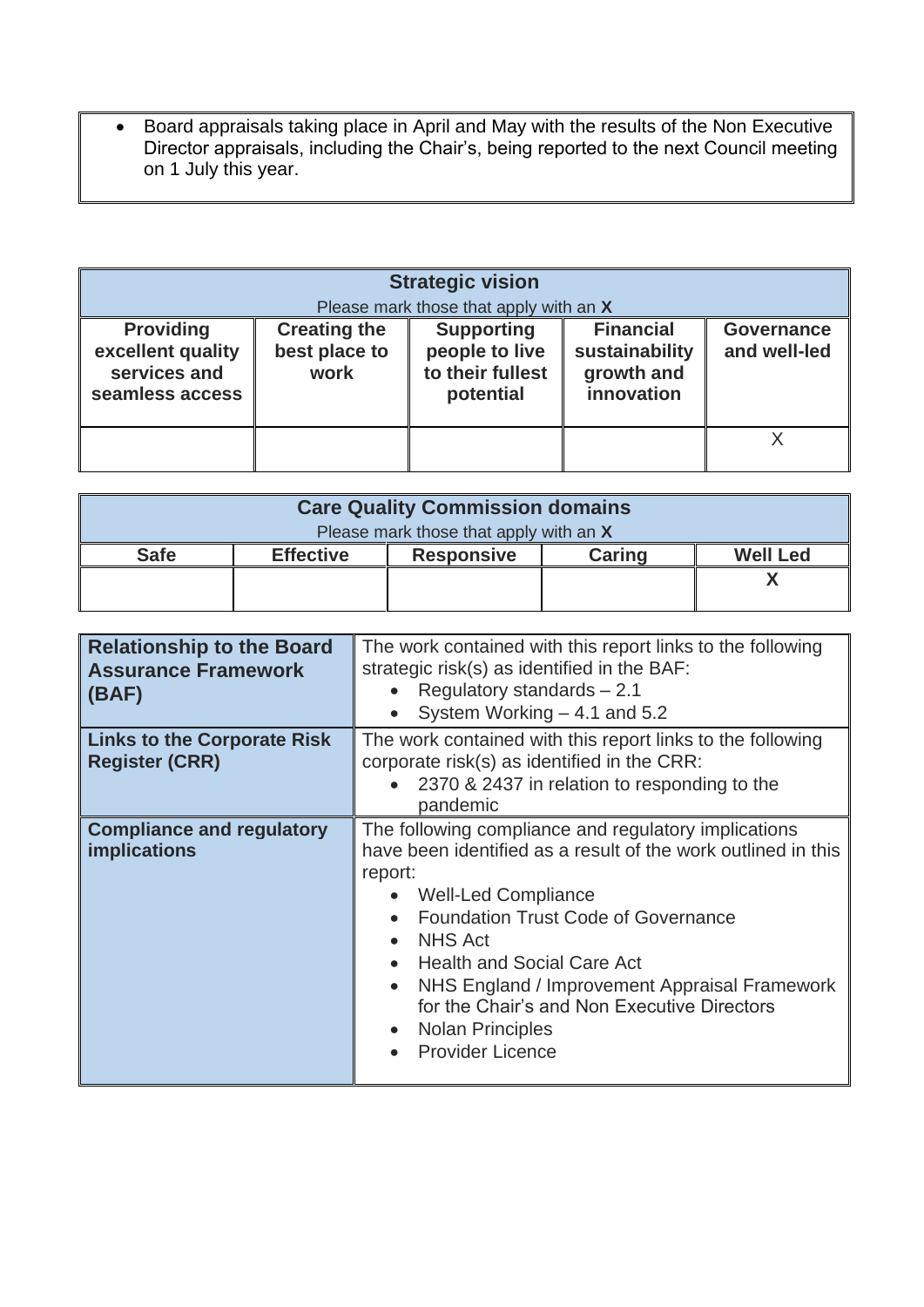• Board appraisals taking place in April and May with the results of the Non Executive Director appraisals, including the Chair's, being reported to the next Council meeting on 1 July this year.

| <b>Strategic vision</b><br>Please mark those that apply with an X        |                                              |                                                                      |                                                                |                                   |
|--------------------------------------------------------------------------|----------------------------------------------|----------------------------------------------------------------------|----------------------------------------------------------------|-----------------------------------|
| <b>Providing</b><br>excellent quality<br>services and<br>seamless access | <b>Creating the</b><br>best place to<br>work | <b>Supporting</b><br>people to live<br>to their fullest<br>potential | <b>Financial</b><br>sustainability<br>growth and<br>innovation | <b>Governance</b><br>and well-led |
|                                                                          |                                              |                                                                      |                                                                |                                   |

| <b>Care Quality Commission domains</b> |                  |                   |               |                 |
|----------------------------------------|------------------|-------------------|---------------|-----------------|
| Please mark those that apply with an X |                  |                   |               |                 |
| <b>Safe</b>                            | <b>Effective</b> | <b>Responsive</b> | <b>Caring</b> | <b>Well Led</b> |
|                                        |                  |                   |               |                 |
|                                        |                  |                   |               |                 |

| <b>Relationship to the Board</b><br><b>Assurance Framework</b><br>(BAF) | The work contained with this report links to the following<br>strategic risk(s) as identified in the BAF:<br>Regulatory standards - 2.1<br>System Working $-4.1$ and 5.2                                                                                                                                                                                                                                                                                                                         |
|-------------------------------------------------------------------------|--------------------------------------------------------------------------------------------------------------------------------------------------------------------------------------------------------------------------------------------------------------------------------------------------------------------------------------------------------------------------------------------------------------------------------------------------------------------------------------------------|
| <b>Links to the Corporate Risk</b><br><b>Register (CRR)</b>             | The work contained with this report links to the following<br>corporate risk(s) as identified in the CRR:<br>2370 & 2437 in relation to responding to the<br>pandemic                                                                                                                                                                                                                                                                                                                            |
| <b>Compliance and regulatory</b><br><b>implications</b>                 | The following compliance and regulatory implications<br>have been identified as a result of the work outlined in this<br>report:<br><b>Well-Led Compliance</b><br><b>Foundation Trust Code of Governance</b><br>$\bullet$<br><b>NHS Act</b><br>$\bullet$<br><b>Health and Social Care Act</b><br>$\bullet$<br>NHS England / Improvement Appraisal Framework<br>$\bullet$<br>for the Chair's and Non Executive Directors<br>Nolan Principles<br>$\bullet$<br><b>Provider Licence</b><br>$\bullet$ |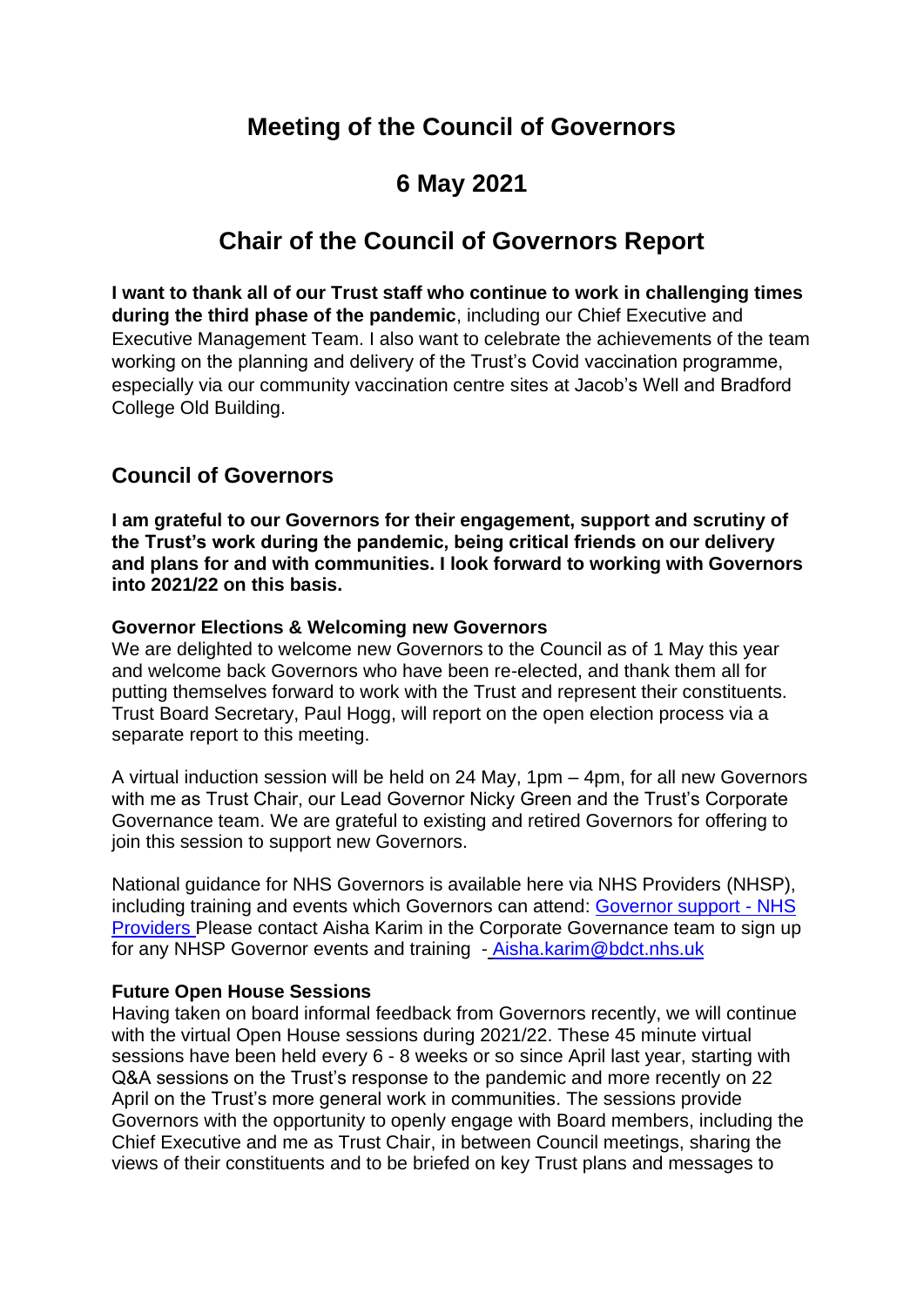# **Meeting of the Council of Governors**

# **6 May 2021**

# **Chair of the Council of Governors Report**

**I want to thank all of our Trust staff who continue to work in challenging times during the third phase of the pandemic**, including our Chief Executive and Executive Management Team. I also want to celebrate the achievements of the team working on the planning and delivery of the Trust's Covid vaccination programme, especially via our community vaccination centre sites at Jacob's Well and Bradford College Old Building.

## **Council of Governors**

**I am grateful to our Governors for their engagement, support and scrutiny of the Trust's work during the pandemic, being critical friends on our delivery and plans for and with communities. I look forward to working with Governors into 2021/22 on this basis.** 

#### **Governor Elections & Welcoming new Governors**

We are delighted to welcome new Governors to the Council as of 1 May this year and welcome back Governors who have been re-elected, and thank them all for putting themselves forward to work with the Trust and represent their constituents. Trust Board Secretary, Paul Hogg, will report on the open election process via a separate report to this meeting.

A virtual induction session will be held on 24 May, 1pm – 4pm, for all new Governors with me as Trust Chair, our Lead Governor Nicky Green and the Trust's Corporate Governance team. We are grateful to existing and retired Governors for offering to join this session to support new Governors.

National guidance for NHS Governors is available here via NHS Providers (NHSP), including training and events which Governors can attend: [Governor support -](https://nhsproviders.org/training-events/governor-support) NHS [Providers](https://nhsproviders.org/training-events/governor-support) Please contact Aisha Karim in the Corporate Governance team to sign up for any NHSP Governor events and training - Aisha.karim@bdct.nhs.uk

## **Future Open House Sessions**

Having taken on board informal feedback from Governors recently, we will continue with the virtual Open House sessions during 2021/22. These 45 minute virtual sessions have been held every 6 - 8 weeks or so since April last year, starting with Q&A sessions on the Trust's response to the pandemic and more recently on 22 April on the Trust's more general work in communities. The sessions provide Governors with the opportunity to openly engage with Board members, including the Chief Executive and me as Trust Chair, in between Council meetings, sharing the views of their constituents and to be briefed on key Trust plans and messages to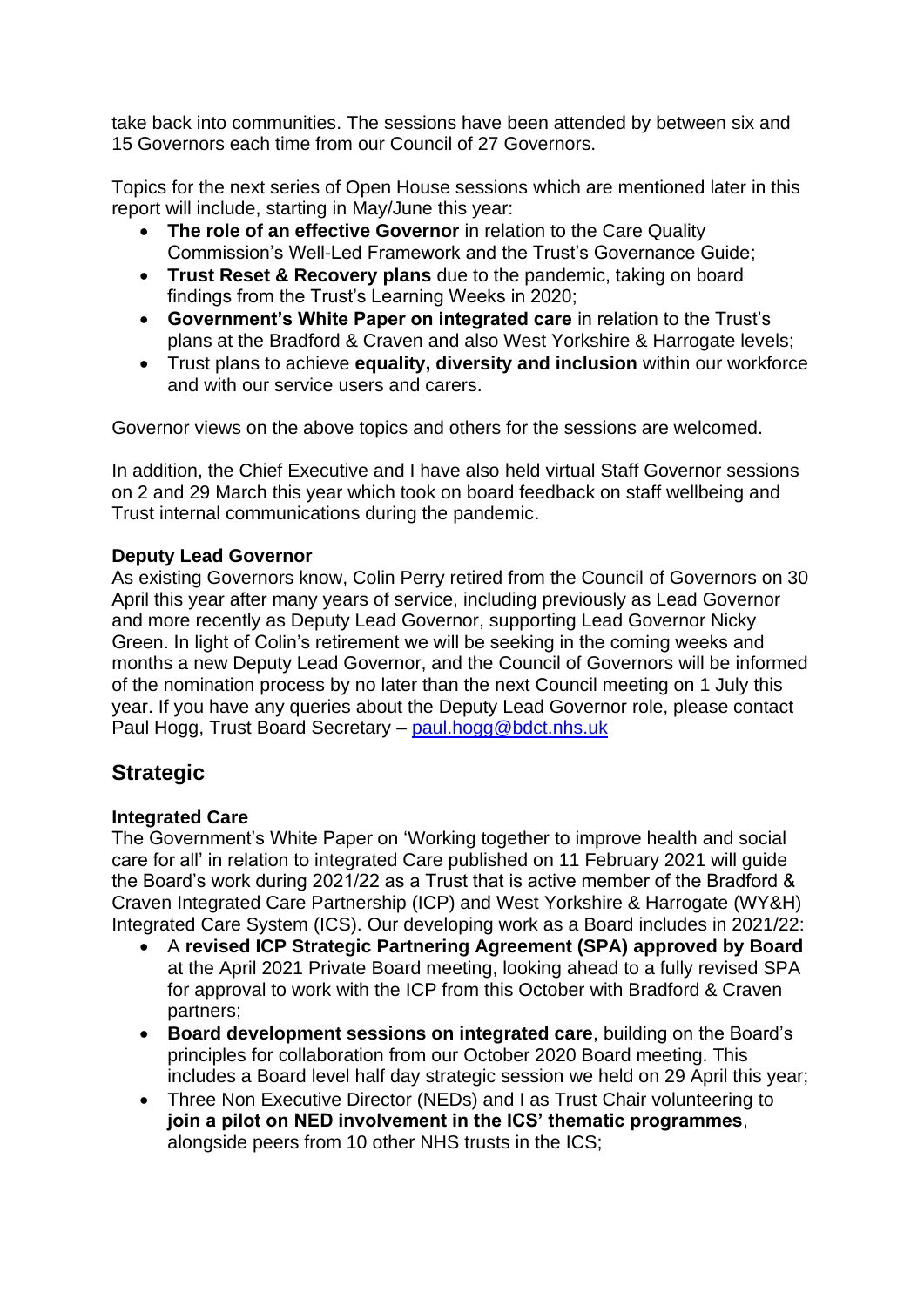take back into communities. The sessions have been attended by between six and 15 Governors each time from our Council of 27 Governors.

Topics for the next series of Open House sessions which are mentioned later in this report will include, starting in May/June this year:

- **The role of an effective Governor** in relation to the Care Quality Commission's Well-Led Framework and the Trust's Governance Guide;
- **Trust Reset & Recovery plans** due to the pandemic, taking on board findings from the Trust's Learning Weeks in 2020;
- **Government's White Paper on integrated care** in relation to the Trust's plans at the Bradford & Craven and also West Yorkshire & Harrogate levels;
- Trust plans to achieve **equality, diversity and inclusion** within our workforce and with our service users and carers.

Governor views on the above topics and others for the sessions are welcomed.

In addition, the Chief Executive and I have also held virtual Staff Governor sessions on 2 and 29 March this year which took on board feedback on staff wellbeing and Trust internal communications during the pandemic.

### **Deputy Lead Governor**

As existing Governors know, Colin Perry retired from the Council of Governors on 30 April this year after many years of service, including previously as Lead Governor and more recently as Deputy Lead Governor, supporting Lead Governor Nicky Green. In light of Colin's retirement we will be seeking in the coming weeks and months a new Deputy Lead Governor, and the Council of Governors will be informed of the nomination process by no later than the next Council meeting on 1 July this year. If you have any queries about the Deputy Lead Governor role, please contact Paul Hogg, Trust Board Secretary – [paul.hogg@bdct.nhs.uk](mailto:paul.hogg@bdct.nhs.uk)

## **Strategic**

## **Integrated Care**

The Government's White Paper on 'Working together to improve health and social care for all' in relation to integrated Care published on 11 February 2021 will guide the Board's work during 2021/22 as a Trust that is active member of the Bradford & Craven Integrated Care Partnership (ICP) and West Yorkshire & Harrogate (WY&H) Integrated Care System (ICS). Our developing work as a Board includes in 2021/22:

- A **revised ICP Strategic Partnering Agreement (SPA) approved by Board**  at the April 2021 Private Board meeting, looking ahead to a fully revised SPA for approval to work with the ICP from this October with Bradford & Craven partners;
- **Board development sessions on integrated care**, building on the Board's principles for collaboration from our October 2020 Board meeting. This includes a Board level half day strategic session we held on 29 April this year;
- Three Non Executive Director (NEDs) and I as Trust Chair volunteering to **join a pilot on NED involvement in the ICS' thematic programmes**, alongside peers from 10 other NHS trusts in the ICS;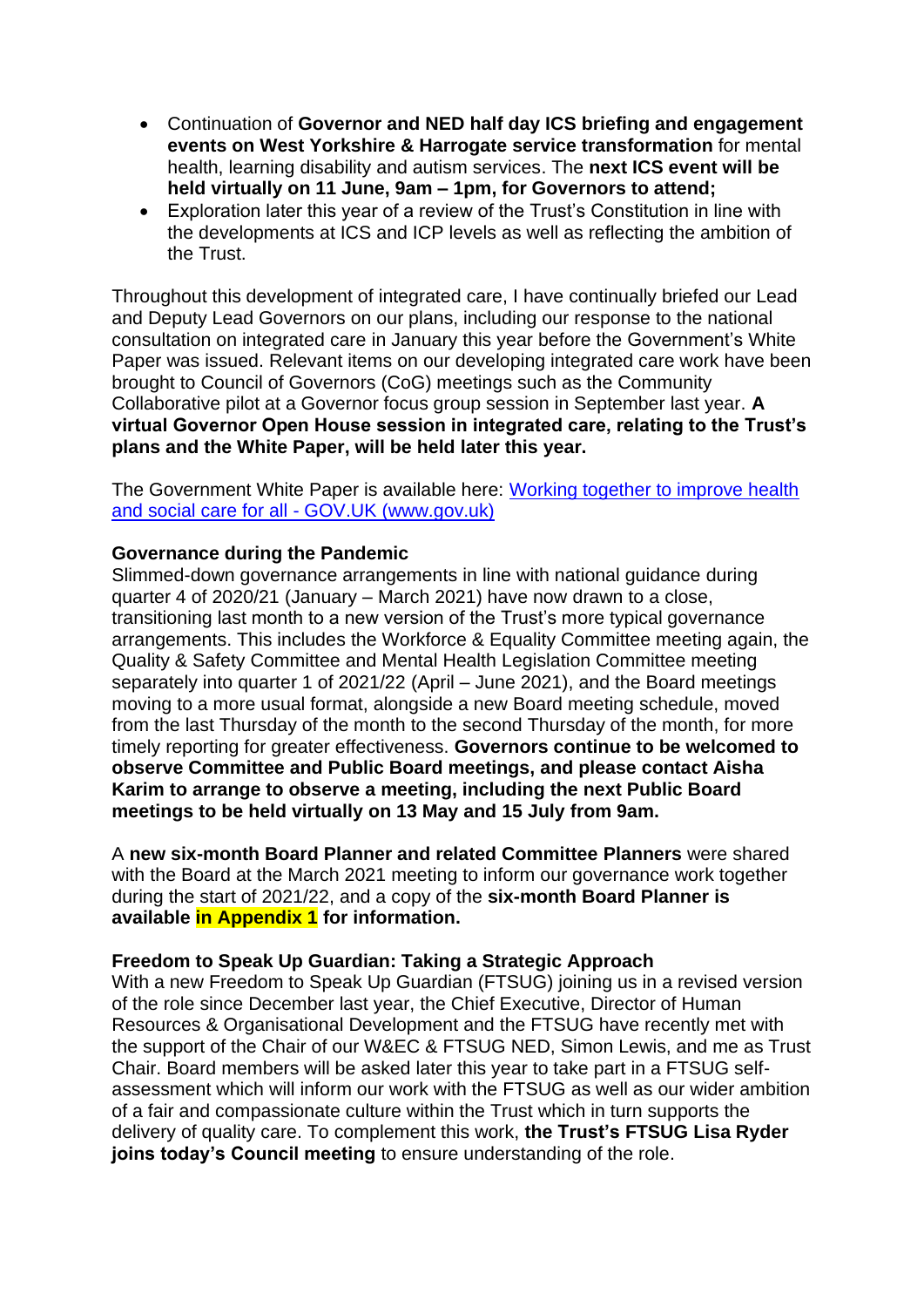- Continuation of **Governor and NED half day ICS briefing and engagement events on West Yorkshire & Harrogate service transformation** for mental health, learning disability and autism services. The **next ICS event will be held virtually on 11 June, 9am – 1pm, for Governors to attend;**
- Exploration later this year of a review of the Trust's Constitution in line with the developments at ICS and ICP levels as well as reflecting the ambition of the Trust.

Throughout this development of integrated care, I have continually briefed our Lead and Deputy Lead Governors on our plans, including our response to the national consultation on integrated care in January this year before the Government's White Paper was issued. Relevant items on our developing integrated care work have been brought to Council of Governors (CoG) meetings such as the Community Collaborative pilot at a Governor focus group session in September last year. **A virtual Governor Open House session in integrated care, relating to the Trust's plans and the White Paper, will be held later this year.** 

The Government White Paper is available here: [Working together to improve health](https://www.gov.uk/government/publications/working-together-to-improve-health-and-social-care-for-all)  and social care for all - [GOV.UK \(www.gov.uk\)](https://www.gov.uk/government/publications/working-together-to-improve-health-and-social-care-for-all)

#### **Governance during the Pandemic**

Slimmed-down governance arrangements in line with national guidance during quarter 4 of 2020/21 (January – March 2021) have now drawn to a close, transitioning last month to a new version of the Trust's more typical governance arrangements. This includes the Workforce & Equality Committee meeting again, the Quality & Safety Committee and Mental Health Legislation Committee meeting separately into quarter 1 of 2021/22 (April – June 2021), and the Board meetings moving to a more usual format, alongside a new Board meeting schedule, moved from the last Thursday of the month to the second Thursday of the month, for more timely reporting for greater effectiveness. **Governors continue to be welcomed to observe Committee and Public Board meetings, and please contact Aisha Karim to arrange to observe a meeting, including the next Public Board meetings to be held virtually on 13 May and 15 July from 9am.** 

A **new six-month Board Planner and related Committee Planners** were shared with the Board at the March 2021 meeting to inform our governance work together during the start of 2021/22, and a copy of the **six-month Board Planner is available in Appendix 1 for information.** 

#### **Freedom to Speak Up Guardian: Taking a Strategic Approach**

With a new Freedom to Speak Up Guardian (FTSUG) joining us in a revised version of the role since December last year, the Chief Executive, Director of Human Resources & Organisational Development and the FTSUG have recently met with the support of the Chair of our W&EC & FTSUG NED, Simon Lewis, and me as Trust Chair. Board members will be asked later this year to take part in a FTSUG selfassessment which will inform our work with the FTSUG as well as our wider ambition of a fair and compassionate culture within the Trust which in turn supports the delivery of quality care. To complement this work, **the Trust's FTSUG Lisa Ryder joins today's Council meeting** to ensure understanding of the role.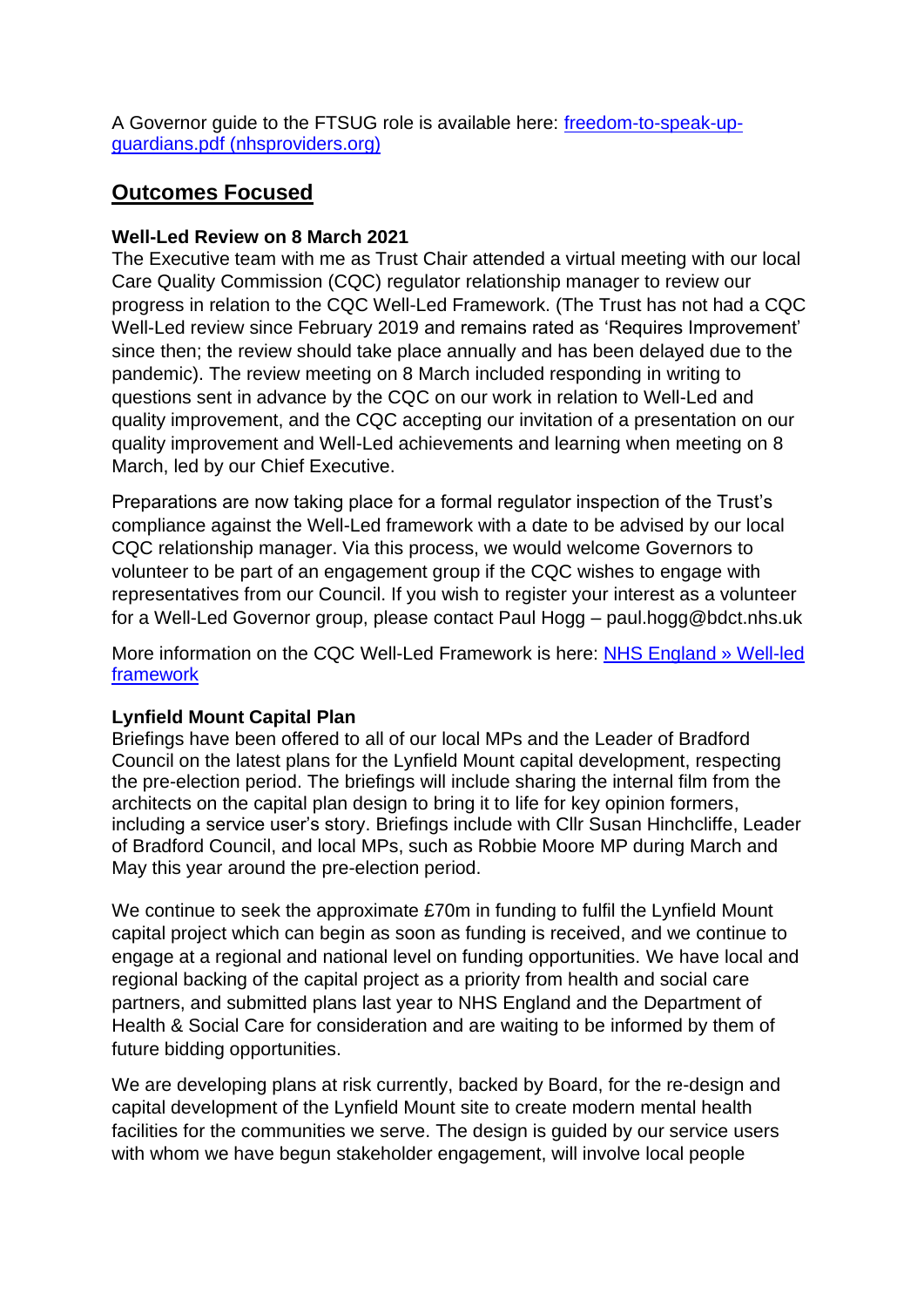A Governor guide to the FTSUG role is available here: [freedom-to-speak-up](https://nhsproviders.org/media/4970/freedom-to-speak-up-guardians.pdf)[guardians.pdf \(nhsproviders.org\)](https://nhsproviders.org/media/4970/freedom-to-speak-up-guardians.pdf)

## **Outcomes Focused**

## **Well-Led Review on 8 March 2021**

The Executive team with me as Trust Chair attended a virtual meeting with our local Care Quality Commission (CQC) regulator relationship manager to review our progress in relation to the CQC Well-Led Framework. (The Trust has not had a CQC Well-Led review since February 2019 and remains rated as 'Requires Improvement' since then; the review should take place annually and has been delayed due to the pandemic). The review meeting on 8 March included responding in writing to questions sent in advance by the CQC on our work in relation to Well-Led and quality improvement, and the CQC accepting our invitation of a presentation on our quality improvement and Well-Led achievements and learning when meeting on 8 March, led by our Chief Executive.

Preparations are now taking place for a formal regulator inspection of the Trust's compliance against the Well-Led framework with a date to be advised by our local CQC relationship manager. Via this process, we would welcome Governors to volunteer to be part of an engagement group if the CQC wishes to engage with representatives from our Council. If you wish to register your interest as a volunteer for a Well-Led Governor group, please contact Paul Hogg – paul.hogg@bdct.nhs.uk

More information on the CQC Well-Led Framework is here: [NHS England » Well-led](https://www.england.nhs.uk/well-led-framework/)  [framework](https://www.england.nhs.uk/well-led-framework/)

## **Lynfield Mount Capital Plan**

Briefings have been offered to all of our local MPs and the Leader of Bradford Council on the latest plans for the Lynfield Mount capital development, respecting the pre-election period. The briefings will include sharing the internal film from the architects on the capital plan design to bring it to life for key opinion formers, including a service user's story. Briefings include with Cllr Susan Hinchcliffe, Leader of Bradford Council, and local MPs, such as Robbie Moore MP during March and May this year around the pre-election period.

We continue to seek the approximate £70m in funding to fulfil the Lynfield Mount capital project which can begin as soon as funding is received, and we continue to engage at a regional and national level on funding opportunities. We have local and regional backing of the capital project as a priority from health and social care partners, and submitted plans last year to NHS England and the Department of Health & Social Care for consideration and are waiting to be informed by them of future bidding opportunities.

We are developing plans at risk currently, backed by Board, for the re-design and capital development of the Lynfield Mount site to create modern mental health facilities for the communities we serve. The design is guided by our service users with whom we have begun stakeholder engagement, will involve local people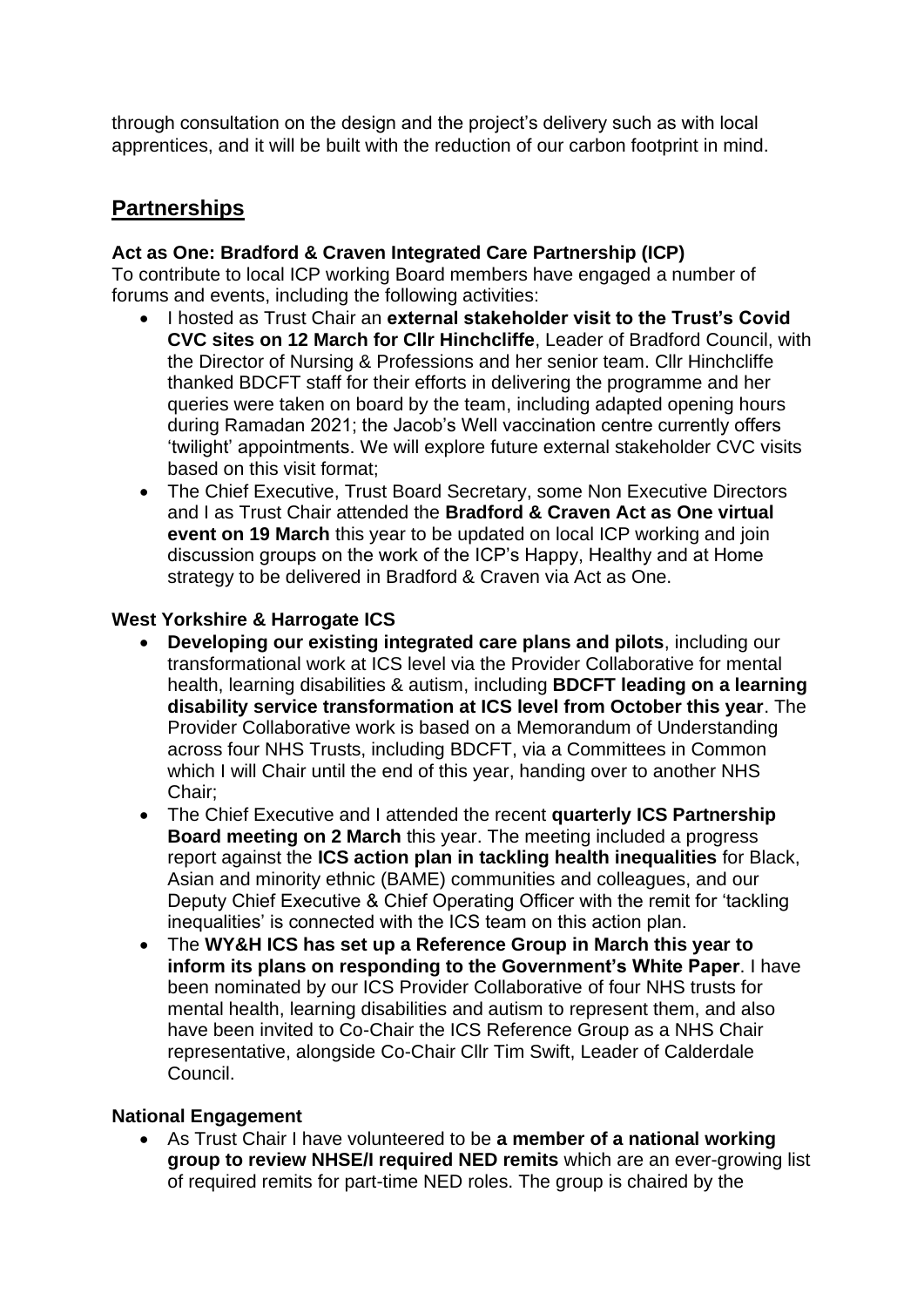through consultation on the design and the project's delivery such as with local apprentices, and it will be built with the reduction of our carbon footprint in mind.

## **Partnerships**

### **Act as One: Bradford & Craven Integrated Care Partnership (ICP)**

To contribute to local ICP working Board members have engaged a number of forums and events, including the following activities:

- I hosted as Trust Chair an **external stakeholder visit to the Trust's Covid CVC sites on 12 March for Cllr Hinchcliffe**, Leader of Bradford Council, with the Director of Nursing & Professions and her senior team. Cllr Hinchcliffe thanked BDCFT staff for their efforts in delivering the programme and her queries were taken on board by the team, including adapted opening hours during Ramadan 2021; the Jacob's Well vaccination centre currently offers 'twilight' appointments. We will explore future external stakeholder CVC visits based on this visit format;
- The Chief Executive, Trust Board Secretary, some Non Executive Directors and I as Trust Chair attended the **Bradford & Craven Act as One virtual event on 19 March** this year to be updated on local ICP working and join discussion groups on the work of the ICP's Happy, Healthy and at Home strategy to be delivered in Bradford & Craven via Act as One.

### **West Yorkshire & Harrogate ICS**

- **Developing our existing integrated care plans and pilots**, including our transformational work at ICS level via the Provider Collaborative for mental health, learning disabilities & autism, including **BDCFT leading on a learning disability service transformation at ICS level from October this year**. The Provider Collaborative work is based on a Memorandum of Understanding across four NHS Trusts, including BDCFT, via a Committees in Common which I will Chair until the end of this year, handing over to another NHS Chair;
- The Chief Executive and I attended the recent **quarterly ICS Partnership Board meeting on 2 March** this year. The meeting included a progress report against the **ICS action plan in tackling health inequalities** for Black, Asian and minority ethnic (BAME) communities and colleagues, and our Deputy Chief Executive & Chief Operating Officer with the remit for 'tackling inequalities' is connected with the ICS team on this action plan.
- The **WY&H ICS has set up a Reference Group in March this year to inform its plans on responding to the Government's White Paper**. I have been nominated by our ICS Provider Collaborative of four NHS trusts for mental health, learning disabilities and autism to represent them, and also have been invited to Co-Chair the ICS Reference Group as a NHS Chair representative, alongside Co-Chair Cllr Tim Swift, Leader of Calderdale Council.

#### **National Engagement**

• As Trust Chair I have volunteered to be **a member of a national working group to review NHSE/I required NED remits** which are an ever-growing list of required remits for part-time NED roles. The group is chaired by the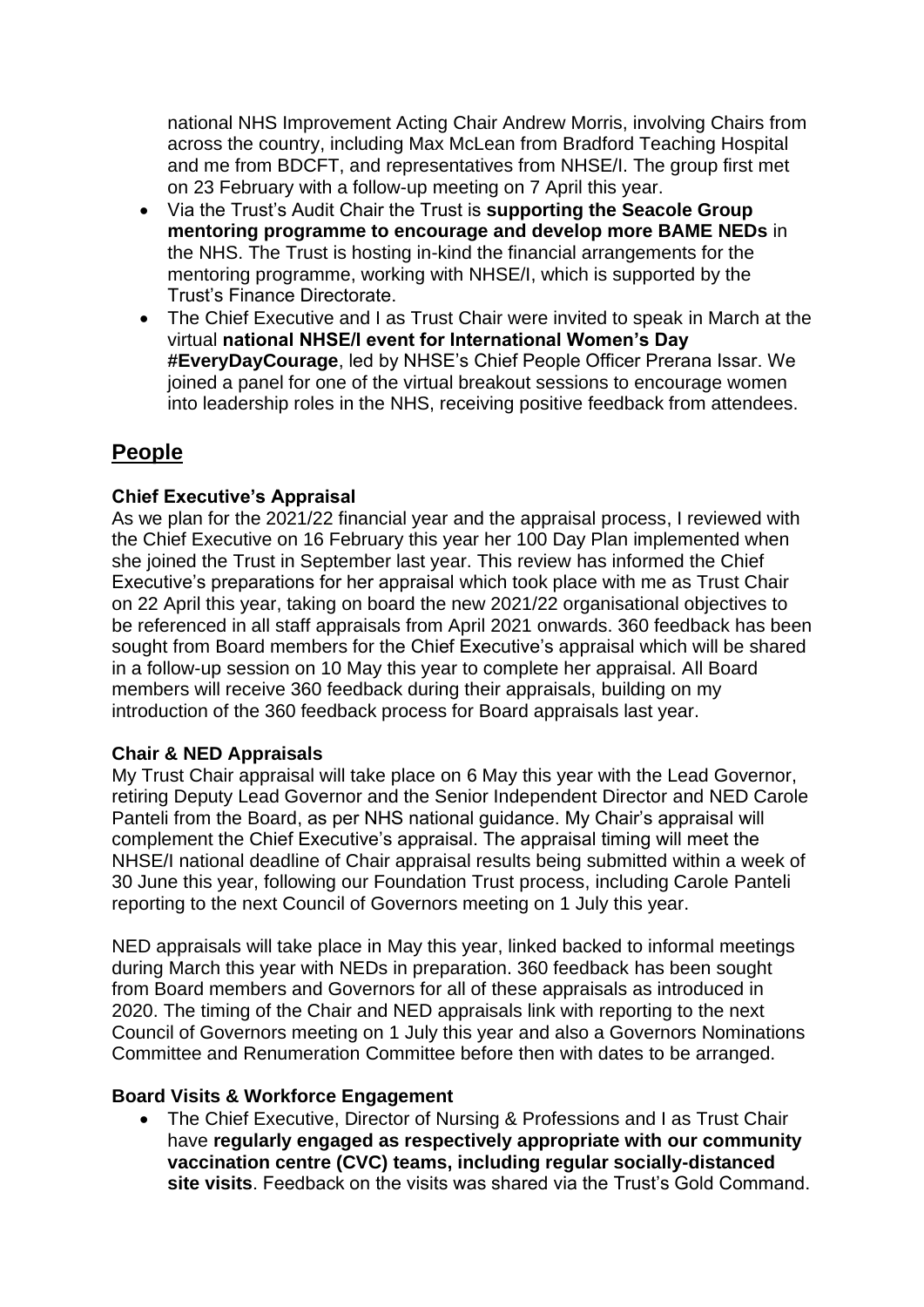national NHS Improvement Acting Chair Andrew Morris, involving Chairs from across the country, including Max McLean from Bradford Teaching Hospital and me from BDCFT, and representatives from NHSE/I. The group first met on 23 February with a follow-up meeting on 7 April this year.

- Via the Trust's Audit Chair the Trust is **supporting the Seacole Group mentoring programme to encourage and develop more BAME NEDs** in the NHS. The Trust is hosting in-kind the financial arrangements for the mentoring programme, working with NHSE/I, which is supported by the Trust's Finance Directorate.
- The Chief Executive and I as Trust Chair were invited to speak in March at the virtual **national NHSE/I event for International Women's Day #EveryDayCourage**, led by NHSE's Chief People Officer Prerana Issar. We joined a panel for one of the virtual breakout sessions to encourage women into leadership roles in the NHS, receiving positive feedback from attendees.

## **People**

### **Chief Executive's Appraisal**

As we plan for the 2021/22 financial year and the appraisal process, I reviewed with the Chief Executive on 16 February this year her 100 Day Plan implemented when she joined the Trust in September last year. This review has informed the Chief Executive's preparations for her appraisal which took place with me as Trust Chair on 22 April this year, taking on board the new 2021/22 organisational objectives to be referenced in all staff appraisals from April 2021 onwards. 360 feedback has been sought from Board members for the Chief Executive's appraisal which will be shared in a follow-up session on 10 May this year to complete her appraisal. All Board members will receive 360 feedback during their appraisals, building on my introduction of the 360 feedback process for Board appraisals last year.

#### **Chair & NED Appraisals**

My Trust Chair appraisal will take place on 6 May this year with the Lead Governor, retiring Deputy Lead Governor and the Senior Independent Director and NED Carole Panteli from the Board, as per NHS national guidance. My Chair's appraisal will complement the Chief Executive's appraisal. The appraisal timing will meet the NHSE/I national deadline of Chair appraisal results being submitted within a week of 30 June this year, following our Foundation Trust process, including Carole Panteli reporting to the next Council of Governors meeting on 1 July this year.

NED appraisals will take place in May this year, linked backed to informal meetings during March this year with NEDs in preparation. 360 feedback has been sought from Board members and Governors for all of these appraisals as introduced in 2020. The timing of the Chair and NED appraisals link with reporting to the next Council of Governors meeting on 1 July this year and also a Governors Nominations Committee and Renumeration Committee before then with dates to be arranged.

#### **Board Visits & Workforce Engagement**

• The Chief Executive, Director of Nursing & Professions and I as Trust Chair have **regularly engaged as respectively appropriate with our community vaccination centre (CVC) teams, including regular socially-distanced site visits**. Feedback on the visits was shared via the Trust's Gold Command.